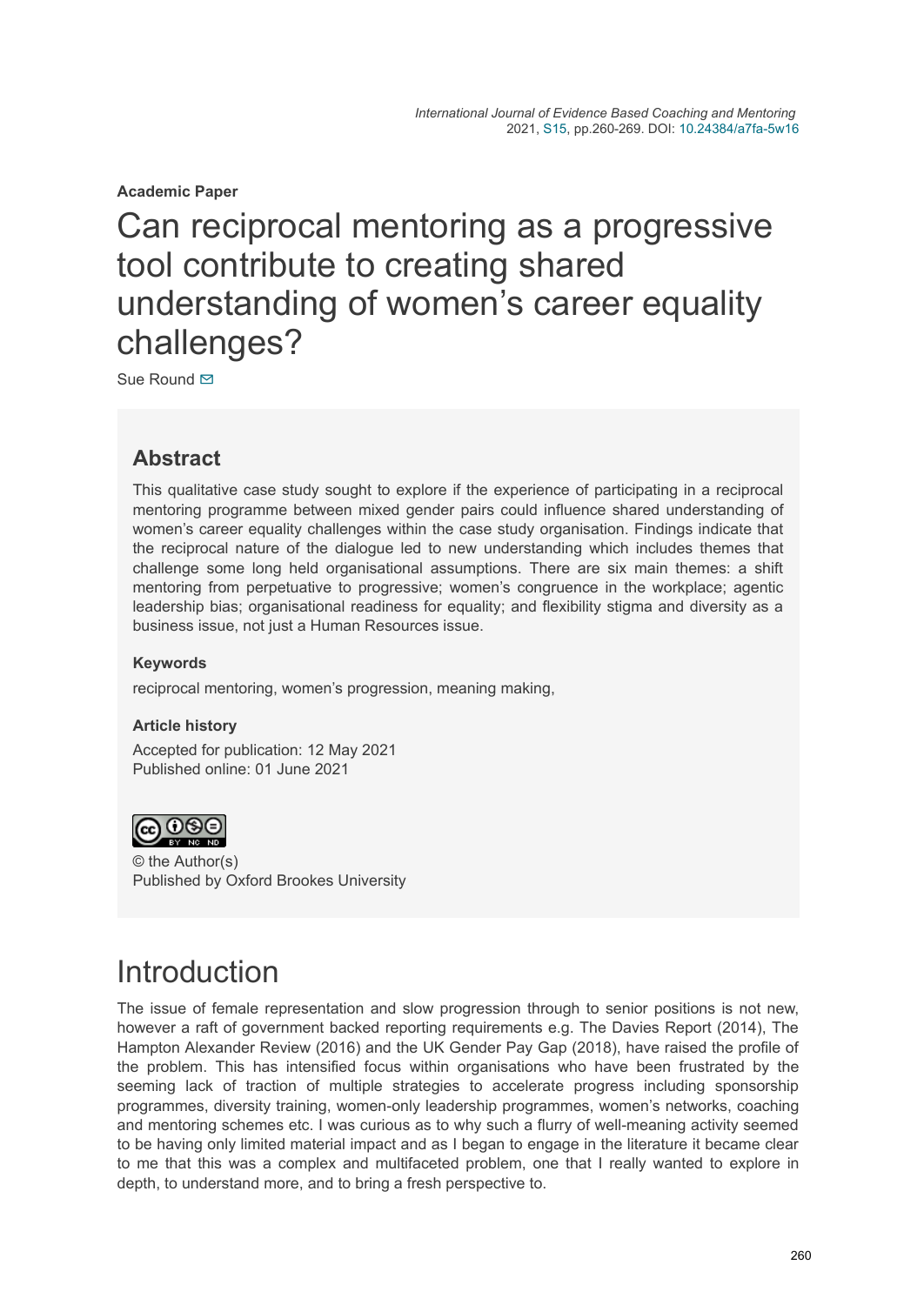**Academic Paper**

# Can reciprocal mentoring as a progressive tool contribute to creating shared understanding of women's career equality challenges?

Sue Round **⊠** 

### **Abstract**

This qualitative case study sought to explore if the experience of participating in a reciprocal mentoring programme between mixed gender pairs could influence shared understanding of women's career equality challenges within the case study organisation. Findings indicate that the reciprocal nature of the dialogue led to new understanding which includes themes that challenge some long held organisational assumptions. There are six main themes: a shift mentoring from perpetuative to progressive; women's congruence in the workplace; agentic leadership bias; organisational readiness for equality; and flexibility stigma and diversity as a business issue, not just a Human Resources issue.

#### **Keywords**

reciprocal mentoring, women's progression, meaning making,

#### **Article history**

Accepted for publication: 12 May 2021 Published online: 01 June 2021



© the Author(s) Published by Oxford Brookes University

# Introduction

The issue of female representation and slow progression through to senior positions is not new, however a raft of government backed reporting requirements e.g. The Davies Report (2014), The Hampton Alexander Review (2016) and the UK Gender Pay Gap (2018), have raised the profile of the problem. This has intensified focus within organisations who have been frustrated by the seeming lack of traction of multiple strategies to accelerate progress including sponsorship programmes, diversity training, women-only leadership programmes, women's networks, coaching and mentoring schemes etc. I was curious as to why such a flurry of well-meaning activity seemed to be having only limited material impact and as I began to engage in the literature it became clear to me that this was a complex and multifaceted problem, one that I really wanted to explore in depth, to understand more, and to bring a fresh perspective to.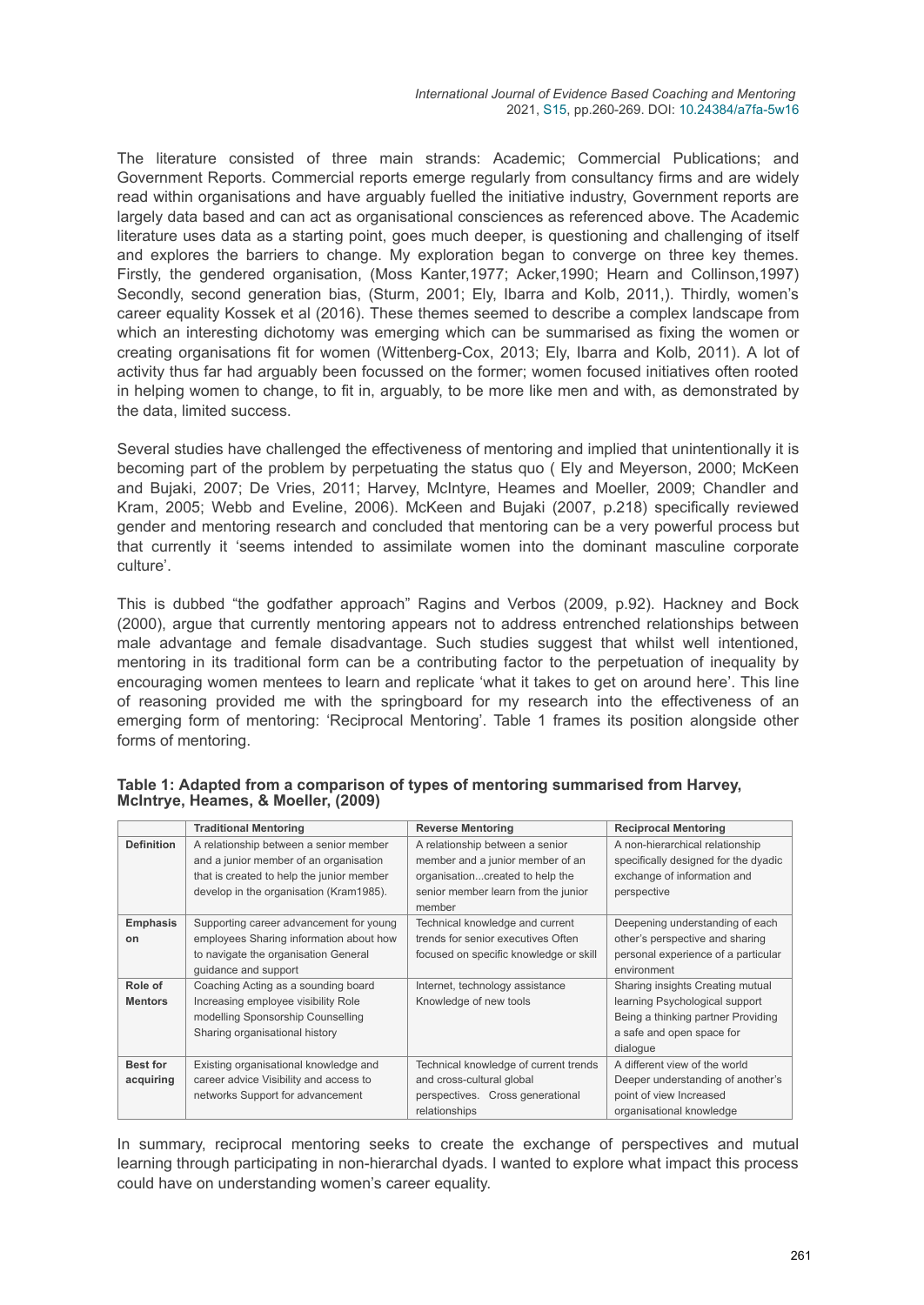The literature consisted of three main strands: Academic; Commercial Publications; and Government Reports. Commercial reports emerge regularly from consultancy firms and are widely read within organisations and have arguably fuelled the initiative industry, Government reports are largely data based and can act as organisational consciences as referenced above. The Academic literature uses data as a starting point, goes much deeper, is questioning and challenging of itself and explores the barriers to change. My exploration began to converge on three key themes. Firstly, the gendered organisation, (Moss Kanter,1977; Acker,1990; Hearn and Collinson,1997) Secondly, second generation bias, (Sturm, 2001; Ely, Ibarra and Kolb, 2011,). Thirdly, women's career equality Kossek et al (2016). These themes seemed to describe a complex landscape from which an interesting dichotomy was emerging which can be summarised as fixing the women or creating organisations fit for women (Wittenberg-Cox, 2013; Ely, Ibarra and Kolb, 2011). A lot of activity thus far had arguably been focussed on the former; women focused initiatives often rooted in helping women to change, to fit in, arguably, to be more like men and with, as demonstrated by the data, limited success.

Several studies have challenged the effectiveness of mentoring and implied that unintentionally it is becoming part of the problem by perpetuating the status quo ( Ely and Meyerson, 2000; McKeen and Bujaki, 2007; De Vries, 2011; Harvey, McIntyre, Heames and Moeller, 2009; Chandler and Kram, 2005; Webb and Eveline, 2006). McKeen and Bujaki (2007, p.218) specifically reviewed gender and mentoring research and concluded that mentoring can be a very powerful process but that currently it 'seems intended to assimilate women into the dominant masculine corporate culture'.

This is dubbed "the godfather approach" Ragins and Verbos (2009, p.92). Hackney and Bock (2000), argue that currently mentoring appears not to address entrenched relationships between male advantage and female disadvantage. Such studies suggest that whilst well intentioned, mentoring in its traditional form can be a contributing factor to the perpetuation of inequality by encouraging women mentees to learn and replicate 'what it takes to get on around here'. This line of reasoning provided me with the springboard for my research into the effectiveness of an emerging form of mentoring: 'Reciprocal Mentoring'. Table 1 frames its position alongside other forms of mentoring.

|                   | <b>Traditional Mentoring</b>              | <b>Reverse Mentoring</b>               | <b>Reciprocal Mentoring</b>          |
|-------------------|-------------------------------------------|----------------------------------------|--------------------------------------|
| <b>Definition</b> | A relationship between a senior member    | A relationship between a senior        | A non-hierarchical relationship      |
|                   | and a junior member of an organisation    | member and a junior member of an       | specifically designed for the dyadic |
|                   | that is created to help the junior member | organisationcreated to help the        | exchange of information and          |
|                   | develop in the organisation (Kram1985).   | senior member learn from the junior    | perspective                          |
|                   |                                           | member                                 |                                      |
| <b>Emphasis</b>   | Supporting career advancement for young   | Technical knowledge and current        | Deepening understanding of each      |
| on                | employees Sharing information about how   | trends for senior executives Often     | other's perspective and sharing      |
|                   | to navigate the organisation General      | focused on specific knowledge or skill | personal experience of a particular  |
|                   | quidance and support                      |                                        | environment                          |
| Role of           | Coaching Acting as a sounding board       | Internet, technology assistance        | Sharing insights Creating mutual     |
| <b>Mentors</b>    | Increasing employee visibility Role       | Knowledge of new tools                 | learning Psychological support       |
|                   | modelling Sponsorship Counselling         |                                        | Being a thinking partner Providing   |
|                   | Sharing organisational history            |                                        | a safe and open space for            |
|                   |                                           |                                        | dialogue                             |
| <b>Best for</b>   | Existing organisational knowledge and     | Technical knowledge of current trends  | A different view of the world        |
| acquiring         | career advice Visibility and access to    | and cross-cultural global              | Deeper understanding of another's    |
|                   | networks Support for advancement          | perspectives. Cross generational       | point of view Increased              |
|                   |                                           | relationships                          | organisational knowledge             |

**Table 1: Adapted from a comparison of types of mentoring summarised from Harvey, McIntrye, Heames, & Moeller, (2009)**

In summary, reciprocal mentoring seeks to create the exchange of perspectives and mutual learning through participating in non-hierarchal dyads. I wanted to explore what impact this process could have on understanding women's career equality.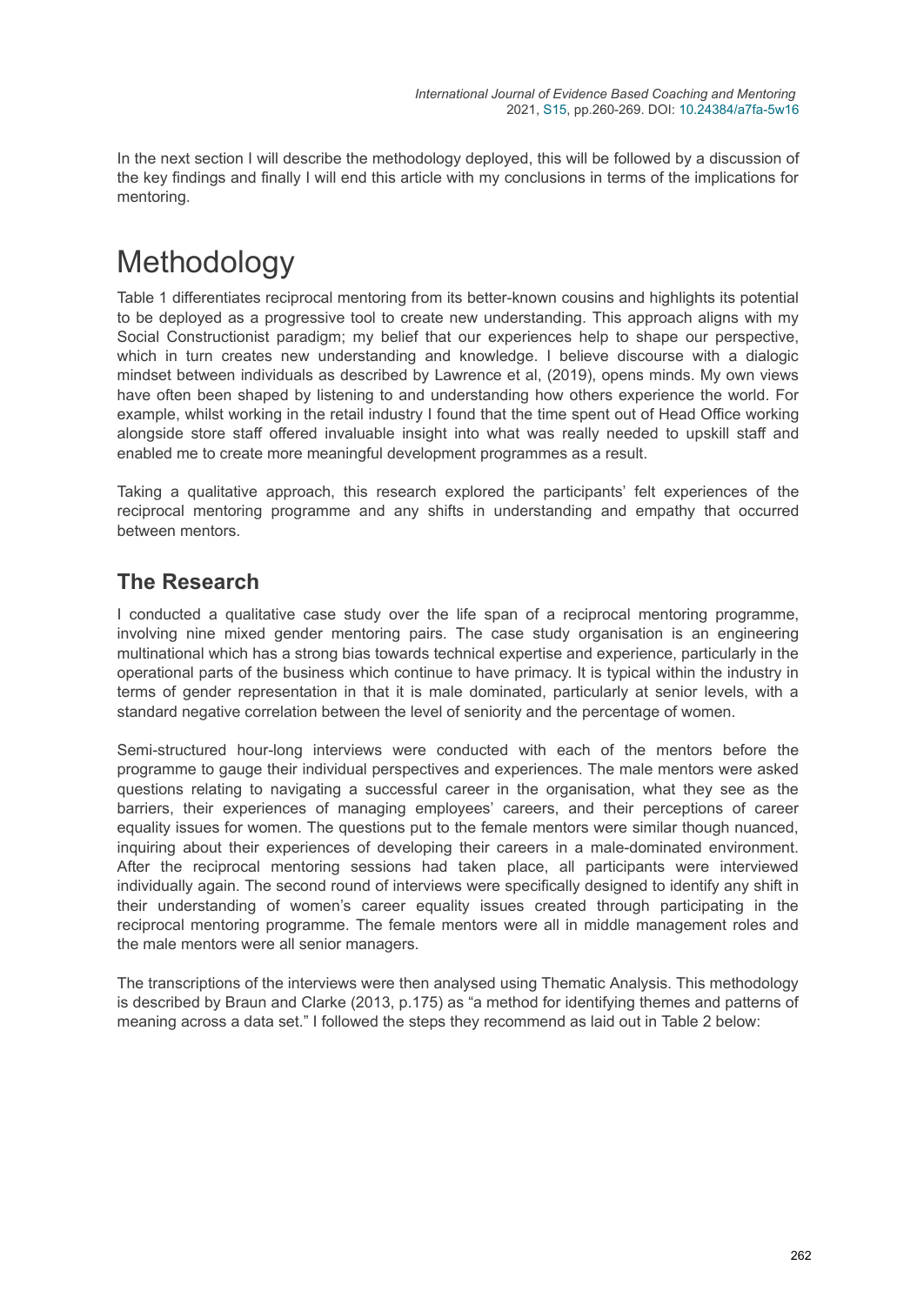In the next section I will describe the methodology deployed, this will be followed by a discussion of the key findings and finally I will end this article with my conclusions in terms of the implications for mentoring.

# Methodology

Table 1 differentiates reciprocal mentoring from its better-known cousins and highlights its potential to be deployed as a progressive tool to create new understanding. This approach aligns with my Social Constructionist paradigm; my belief that our experiences help to shape our perspective, which in turn creates new understanding and knowledge. I believe discourse with a dialogic mindset between individuals as described by Lawrence et al, (2019), opens minds. My own views have often been shaped by listening to and understanding how others experience the world. For example, whilst working in the retail industry I found that the time spent out of Head Office working alongside store staff offered invaluable insight into what was really needed to upskill staff and enabled me to create more meaningful development programmes as a result.

Taking a qualitative approach, this research explored the participants' felt experiences of the reciprocal mentoring programme and any shifts in understanding and empathy that occurred between mentors.

### **The Research**

I conducted a qualitative case study over the life span of a reciprocal mentoring programme, involving nine mixed gender mentoring pairs. The case study organisation is an engineering multinational which has a strong bias towards technical expertise and experience, particularly in the operational parts of the business which continue to have primacy. It is typical within the industry in terms of gender representation in that it is male dominated, particularly at senior levels, with a standard negative correlation between the level of seniority and the percentage of women.

Semi-structured hour-long interviews were conducted with each of the mentors before the programme to gauge their individual perspectives and experiences. The male mentors were asked questions relating to navigating a successful career in the organisation, what they see as the barriers, their experiences of managing employees' careers, and their perceptions of career equality issues for women. The questions put to the female mentors were similar though nuanced, inquiring about their experiences of developing their careers in a male-dominated environment. After the reciprocal mentoring sessions had taken place, all participants were interviewed individually again. The second round of interviews were specifically designed to identify any shift in their understanding of women's career equality issues created through participating in the reciprocal mentoring programme. The female mentors were all in middle management roles and the male mentors were all senior managers.

The transcriptions of the interviews were then analysed using Thematic Analysis. This methodology is described by Braun and Clarke (2013, p.175) as "a method for identifying themes and patterns of meaning across a data set." I followed the steps they recommend as laid out in Table 2 below: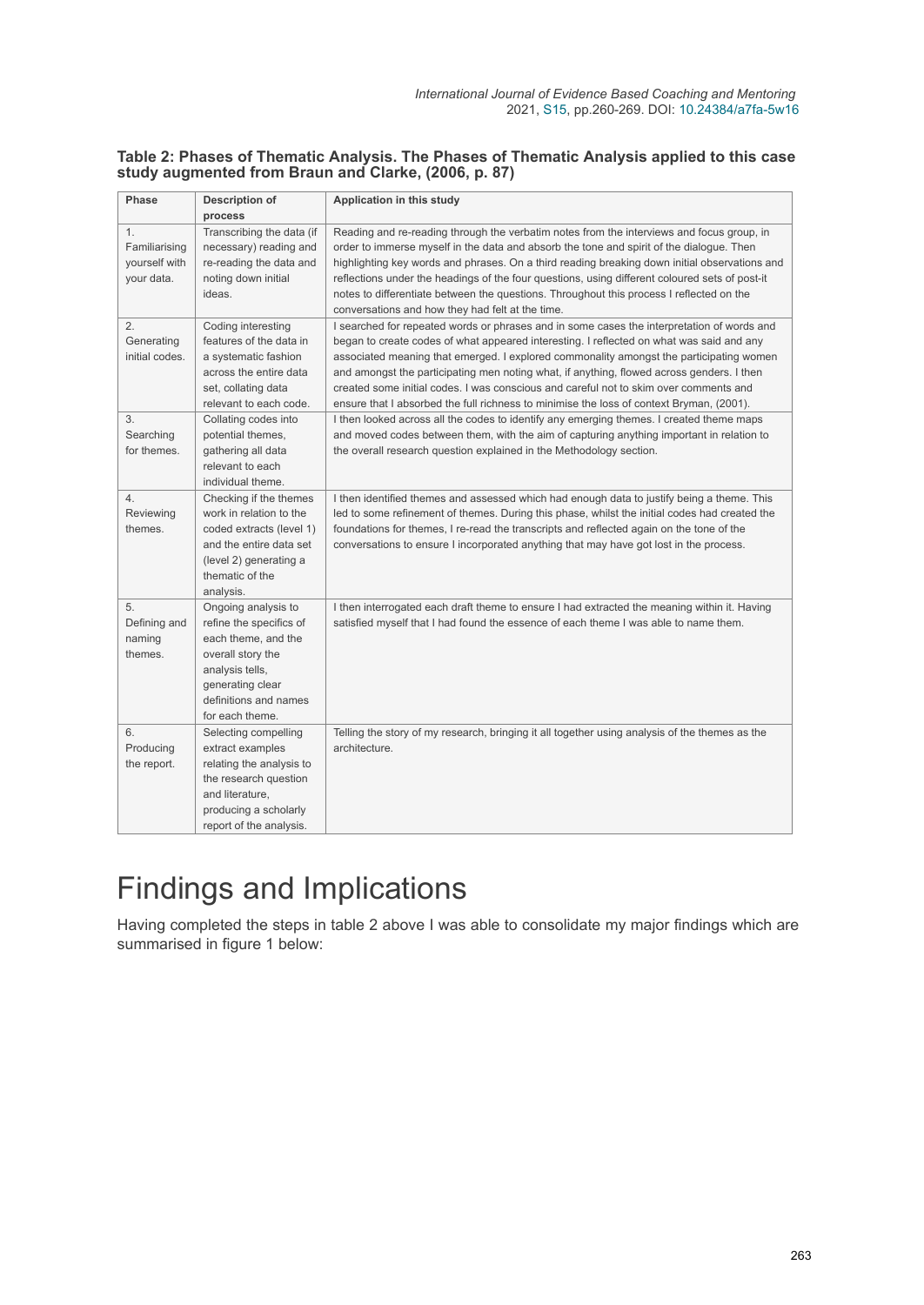#### **Table 2: Phases of Thematic Analysis. The Phases of Thematic Analysis applied to this case study augmented from Braun and Clarke, (2006, p. 87)**

| Phase                                              | Description of<br>process                                                                                                                                                     | Application in this study                                                                                                                                                                                                                                                                                                                                                                                                                                                                                                                                           |
|----------------------------------------------------|-------------------------------------------------------------------------------------------------------------------------------------------------------------------------------|---------------------------------------------------------------------------------------------------------------------------------------------------------------------------------------------------------------------------------------------------------------------------------------------------------------------------------------------------------------------------------------------------------------------------------------------------------------------------------------------------------------------------------------------------------------------|
| 1.<br>Familiarising<br>yourself with<br>your data. | Transcribing the data (if<br>necessary) reading and<br>re-reading the data and<br>noting down initial<br>ideas.                                                               | Reading and re-reading through the verbatim notes from the interviews and focus group, in<br>order to immerse myself in the data and absorb the tone and spirit of the dialogue. Then<br>highlighting key words and phrases. On a third reading breaking down initial observations and<br>reflections under the headings of the four questions, using different coloured sets of post-it<br>notes to differentiate between the questions. Throughout this process I reflected on the<br>conversations and how they had felt at the time.                            |
| 2.<br>Generating<br>initial codes.                 | Coding interesting<br>features of the data in<br>a systematic fashion<br>across the entire data<br>set, collating data<br>relevant to each code.                              | I searched for repeated words or phrases and in some cases the interpretation of words and<br>began to create codes of what appeared interesting. I reflected on what was said and any<br>associated meaning that emerged. I explored commonality amongst the participating women<br>and amongst the participating men noting what, if anything, flowed across genders. I then<br>created some initial codes. I was conscious and careful not to skim over comments and<br>ensure that I absorbed the full richness to minimise the loss of context Bryman, (2001). |
| 3.<br>Searching<br>for themes.                     | Collating codes into<br>potential themes,<br>gathering all data<br>relevant to each<br>individual theme.                                                                      | I then looked across all the codes to identify any emerging themes. I created theme maps<br>and moved codes between them, with the aim of capturing anything important in relation to<br>the overall research question explained in the Methodology section.                                                                                                                                                                                                                                                                                                        |
| 4.<br>Reviewing<br>themes.                         | Checking if the themes<br>work in relation to the<br>coded extracts (level 1)<br>and the entire data set<br>(level 2) generating a<br>thematic of the<br>analysis.            | I then identified themes and assessed which had enough data to justify being a theme. This<br>led to some refinement of themes. During this phase, whilst the initial codes had created the<br>foundations for themes, I re-read the transcripts and reflected again on the tone of the<br>conversations to ensure I incorporated anything that may have got lost in the process.                                                                                                                                                                                   |
| 5.<br>Defining and<br>naming<br>themes.            | Ongoing analysis to<br>refine the specifics of<br>each theme, and the<br>overall story the<br>analysis tells,<br>generating clear<br>definitions and names<br>for each theme. | I then interrogated each draft theme to ensure I had extracted the meaning within it. Having<br>satisfied myself that I had found the essence of each theme I was able to name them.                                                                                                                                                                                                                                                                                                                                                                                |
| 6.<br>Producing<br>the report.                     | Selecting compelling<br>extract examples<br>relating the analysis to<br>the research question<br>and literature.<br>producing a scholarly<br>report of the analysis.          | Telling the story of my research, bringing it all together using analysis of the themes as the<br>architecture.                                                                                                                                                                                                                                                                                                                                                                                                                                                     |

# Findings and Implications

Having completed the steps in table 2 above I was able to consolidate my major findings which are summarised in figure 1 below: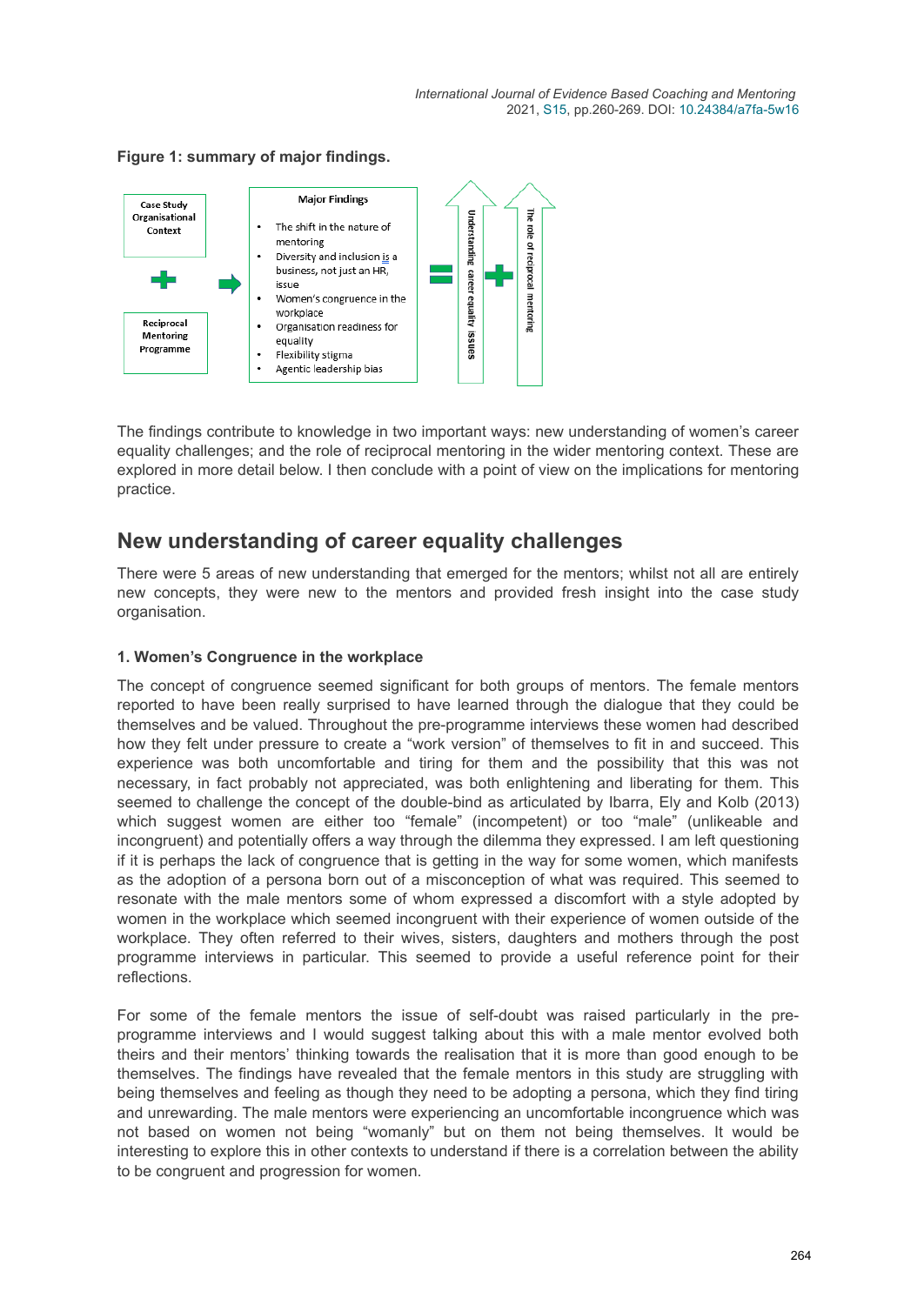**Figure 1: summary of major findings.** 



The findings contribute to knowledge in two important ways: new understanding of women's career equality challenges; and the role of reciprocal mentoring in the wider mentoring context. These are explored in more detail below. I then conclude with a point of view on the implications for mentoring practice.

### **New understanding of career equality challenges**

There were 5 areas of new understanding that emerged for the mentors; whilst not all are entirely new concepts, they were new to the mentors and provided fresh insight into the case study organisation.

#### **1. Women's Congruence in the workplace**

The concept of congruence seemed significant for both groups of mentors. The female mentors reported to have been really surprised to have learned through the dialogue that they could be themselves and be valued. Throughout the pre-programme interviews these women had described how they felt under pressure to create a "work version" of themselves to fit in and succeed. This experience was both uncomfortable and tiring for them and the possibility that this was not necessary, in fact probably not appreciated, was both enlightening and liberating for them. This seemed to challenge the concept of the double-bind as articulated by Ibarra, Ely and Kolb (2013) which suggest women are either too "female" (incompetent) or too "male" (unlikeable and incongruent) and potentially offers a way through the dilemma they expressed. I am left questioning if it is perhaps the lack of congruence that is getting in the way for some women, which manifests as the adoption of a persona born out of a misconception of what was required. This seemed to resonate with the male mentors some of whom expressed a discomfort with a style adopted by women in the workplace which seemed incongruent with their experience of women outside of the workplace. They often referred to their wives, sisters, daughters and mothers through the post programme interviews in particular. This seemed to provide a useful reference point for their reflections.

For some of the female mentors the issue of self-doubt was raised particularly in the preprogramme interviews and I would suggest talking about this with a male mentor evolved both theirs and their mentors' thinking towards the realisation that it is more than good enough to be themselves. The findings have revealed that the female mentors in this study are struggling with being themselves and feeling as though they need to be adopting a persona, which they find tiring and unrewarding. The male mentors were experiencing an uncomfortable incongruence which was not based on women not being "womanly" but on them not being themselves. It would be interesting to explore this in other contexts to understand if there is a correlation between the ability to be congruent and progression for women.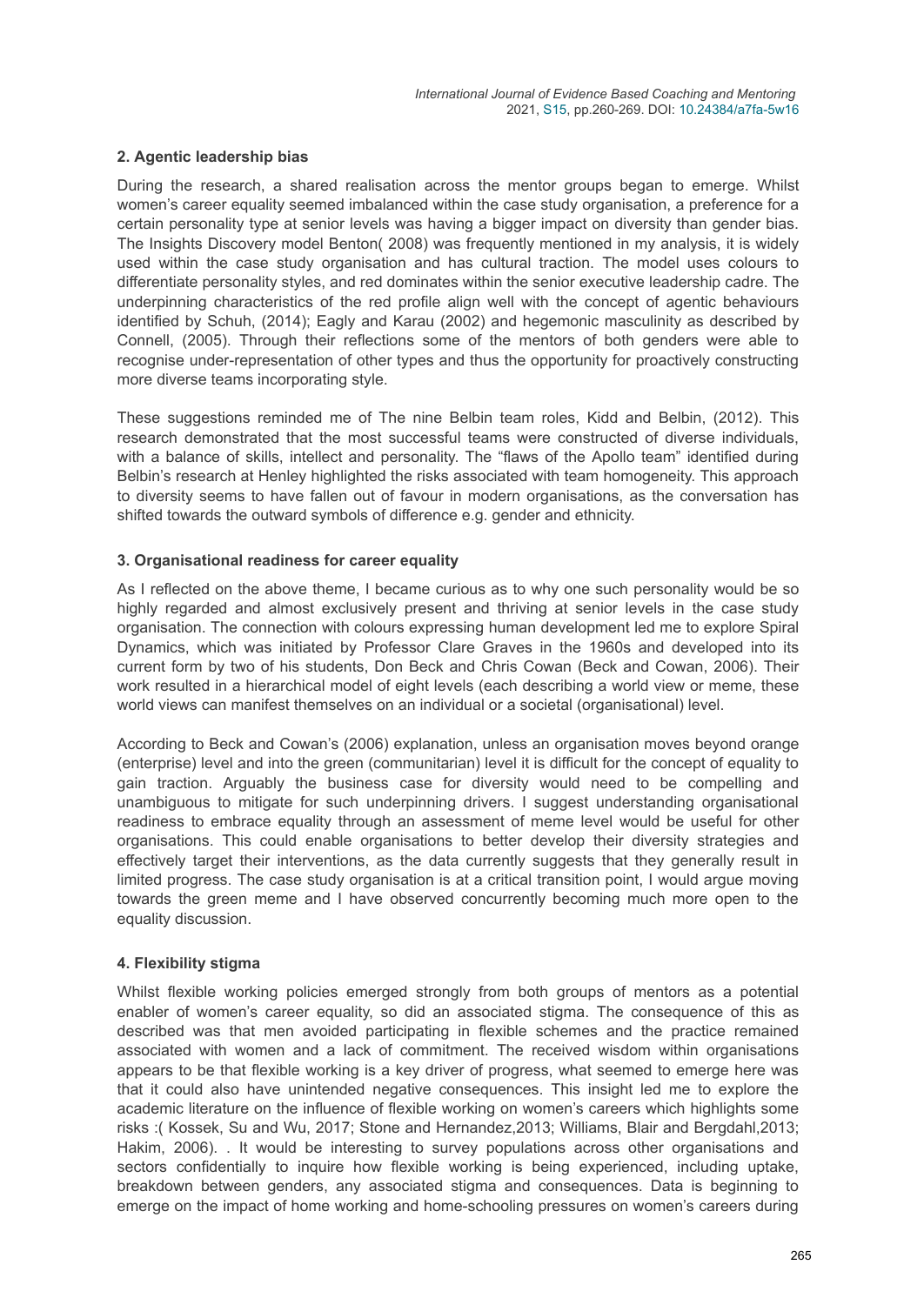#### **2. Agentic leadership bias**

During the research, a shared realisation across the mentor groups began to emerge. Whilst women's career equality seemed imbalanced within the case study organisation, a preference for a certain personality type at senior levels was having a bigger impact on diversity than gender bias. The Insights Discovery model Benton( 2008) was frequently mentioned in my analysis, it is widely used within the case study organisation and has cultural traction. The model uses colours to differentiate personality styles, and red dominates within the senior executive leadership cadre. The underpinning characteristics of the red profile align well with the concept of agentic behaviours identified by Schuh, (2014); Eagly and Karau (2002) and hegemonic masculinity as described by Connell, (2005). Through their reflections some of the mentors of both genders were able to recognise under-representation of other types and thus the opportunity for proactively constructing more diverse teams incorporating style.

These suggestions reminded me of The nine Belbin team roles, Kidd and Belbin, (2012). This research demonstrated that the most successful teams were constructed of diverse individuals, with a balance of skills, intellect and personality. The "flaws of the Apollo team" identified during Belbin's research at Henley highlighted the risks associated with team homogeneity. This approach to diversity seems to have fallen out of favour in modern organisations, as the conversation has shifted towards the outward symbols of difference e.g. gender and ethnicity.

#### **3. Organisational readiness for career equality**

As I reflected on the above theme, I became curious as to why one such personality would be so highly regarded and almost exclusively present and thriving at senior levels in the case study organisation. The connection with colours expressing human development led me to explore Spiral Dynamics, which was initiated by Professor Clare Graves in the 1960s and developed into its current form by two of his students, Don Beck and Chris Cowan (Beck and Cowan, 2006). Their work resulted in a hierarchical model of eight levels (each describing a world view or meme, these world views can manifest themselves on an individual or a societal (organisational) level.

According to Beck and Cowan's (2006) explanation, unless an organisation moves beyond orange (enterprise) level and into the green (communitarian) level it is difficult for the concept of equality to gain traction. Arguably the business case for diversity would need to be compelling and unambiguous to mitigate for such underpinning drivers. I suggest understanding organisational readiness to embrace equality through an assessment of meme level would be useful for other organisations. This could enable organisations to better develop their diversity strategies and effectively target their interventions, as the data currently suggests that they generally result in limited progress. The case study organisation is at a critical transition point, I would argue moving towards the green meme and I have observed concurrently becoming much more open to the equality discussion.

#### **4. Flexibility stigma**

Whilst flexible working policies emerged strongly from both groups of mentors as a potential enabler of women's career equality, so did an associated stigma. The consequence of this as described was that men avoided participating in flexible schemes and the practice remained associated with women and a lack of commitment. The received wisdom within organisations appears to be that flexible working is a key driver of progress, what seemed to emerge here was that it could also have unintended negative consequences. This insight led me to explore the academic literature on the influence of flexible working on women's careers which highlights some risks :( Kossek, Su and Wu, 2017; Stone and Hernandez,2013; Williams, Blair and Bergdahl,2013; Hakim, 2006). . It would be interesting to survey populations across other organisations and sectors confidentially to inquire how flexible working is being experienced, including uptake, breakdown between genders, any associated stigma and consequences. Data is beginning to emerge on the impact of home working and home-schooling pressures on women's careers during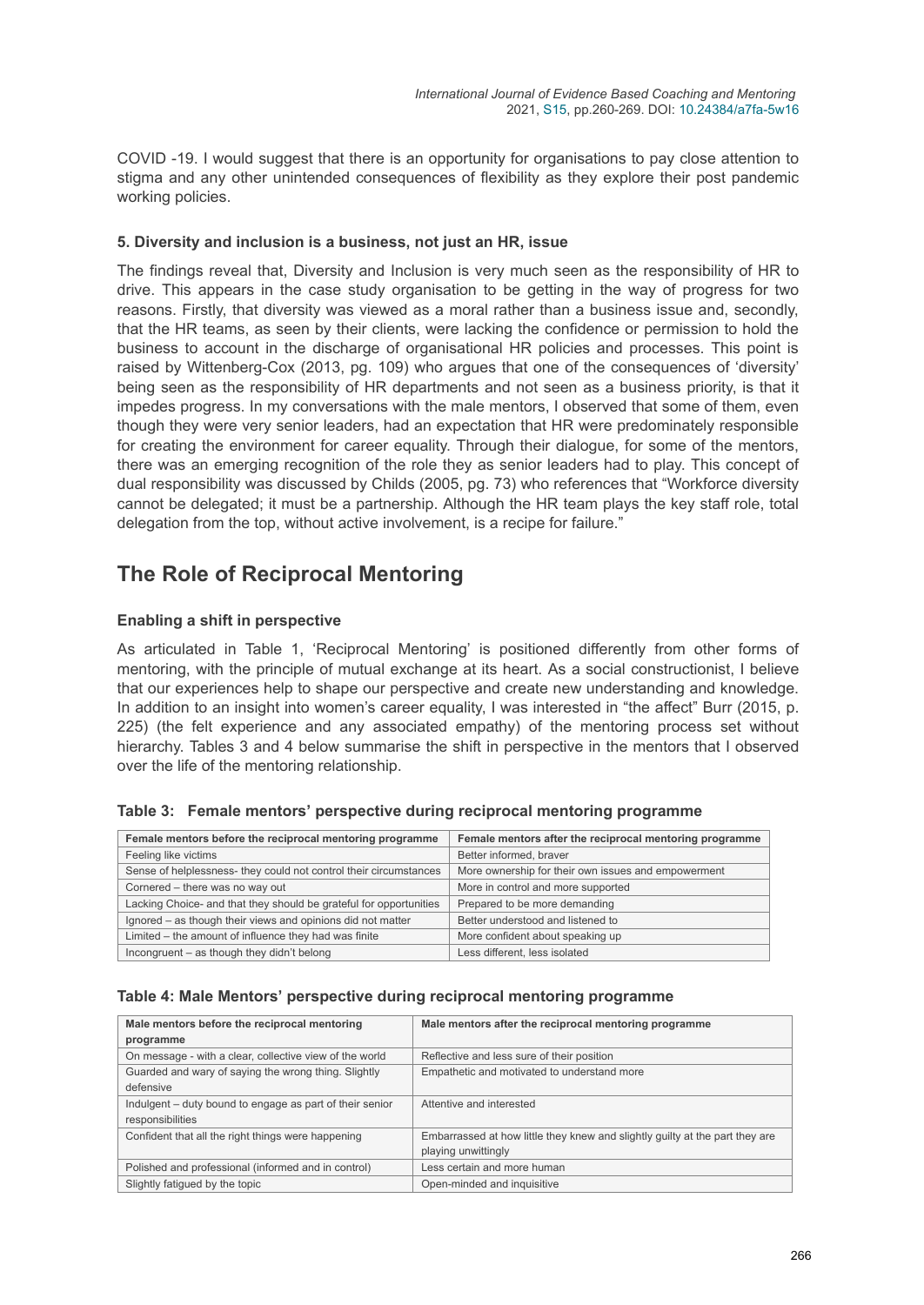COVID -19. I would suggest that there is an opportunity for organisations to pay close attention to stigma and any other unintended consequences of flexibility as they explore their post pandemic working policies.

#### **5. Diversity and inclusion is a business, not just an HR, issue**

The findings reveal that, Diversity and Inclusion is very much seen as the responsibility of HR to drive. This appears in the case study organisation to be getting in the way of progress for two reasons. Firstly, that diversity was viewed as a moral rather than a business issue and, secondly, that the HR teams, as seen by their clients, were lacking the confidence or permission to hold the business to account in the discharge of organisational HR policies and processes. This point is raised by Wittenberg-Cox (2013, pg. 109) who argues that one of the consequences of 'diversity' being seen as the responsibility of HR departments and not seen as a business priority, is that it impedes progress. In my conversations with the male mentors, I observed that some of them, even though they were very senior leaders, had an expectation that HR were predominately responsible for creating the environment for career equality. Through their dialogue, for some of the mentors, there was an emerging recognition of the role they as senior leaders had to play. This concept of dual responsibility was discussed by Childs (2005, pg. 73) who references that "Workforce diversity cannot be delegated; it must be a partnership. Although the HR team plays the key staff role, total delegation from the top, without active involvement, is a recipe for failure."

### **The Role of Reciprocal Mentoring**

#### **Enabling a shift in perspective**

As articulated in Table 1, 'Reciprocal Mentoring' is positioned differently from other forms of mentoring, with the principle of mutual exchange at its heart. As a social constructionist, I believe that our experiences help to shape our perspective and create new understanding and knowledge. In addition to an insight into women's career equality, I was interested in "the affect" Burr (2015, p. 225) (the felt experience and any associated empathy) of the mentoring process set without hierarchy. Tables 3 and 4 below summarise the shift in perspective in the mentors that I observed over the life of the mentoring relationship.

| Female mentors before the reciprocal mentoring programme           | Female mentors after the reciprocal mentoring programme |
|--------------------------------------------------------------------|---------------------------------------------------------|
| Feeling like victims                                               | Better informed, braver                                 |
| Sense of helplessness- they could not control their circumstances  | More ownership for their own issues and empowerment     |
| Cornered - there was no way out                                    | More in control and more supported                      |
| Lacking Choice- and that they should be grateful for opportunities | Prepared to be more demanding                           |
| Ignored - as though their views and opinions did not matter        | Better understood and listened to                       |
| Limited – the amount of influence they had was finite              | More confident about speaking up                        |
| Incongruent – as though they didn't belong                         | Less different. less isolated                           |

#### **Table 3: Female mentors' perspective during reciprocal mentoring programme**

#### **Table 4: Male Mentors' perspective during reciprocal mentoring programme**

| Male mentors before the reciprocal mentoring             | Male mentors after the reciprocal mentoring programme                        |  |
|----------------------------------------------------------|------------------------------------------------------------------------------|--|
| programme                                                |                                                                              |  |
| On message - with a clear, collective view of the world  | Reflective and less sure of their position                                   |  |
| Guarded and wary of saying the wrong thing. Slightly     | Empathetic and motivated to understand more                                  |  |
| defensive                                                |                                                                              |  |
| Indulgent – duty bound to engage as part of their senior | Attentive and interested                                                     |  |
| responsibilities                                         |                                                                              |  |
| Confident that all the right things were happening       | Embarrassed at how little they knew and slightly quilty at the part they are |  |
|                                                          | playing unwittingly                                                          |  |
| Polished and professional (informed and in control)      | Less certain and more human                                                  |  |
| Slightly fatigued by the topic                           | Open-minded and inquisitive                                                  |  |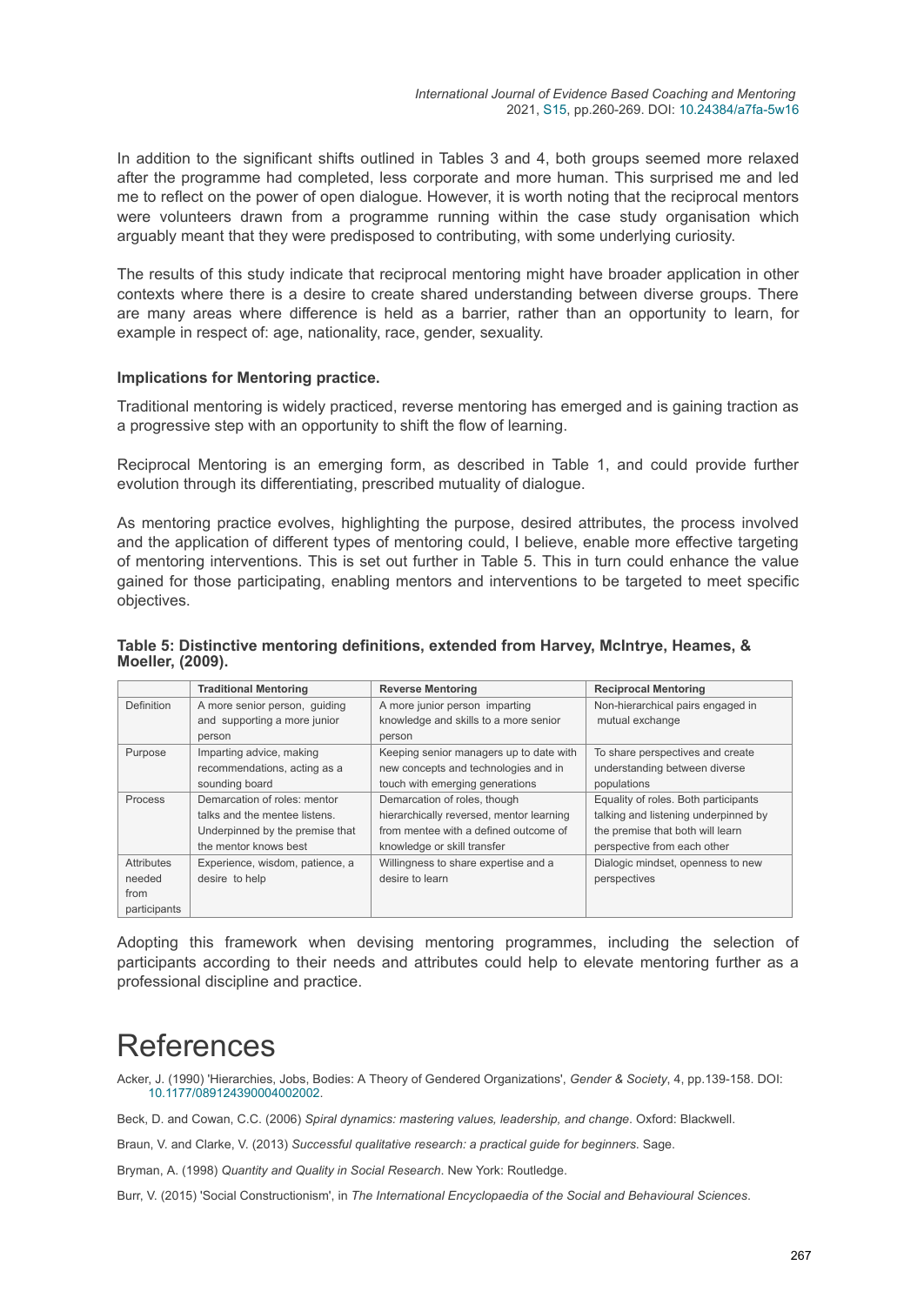In addition to the significant shifts outlined in Tables 3 and 4, both groups seemed more relaxed after the programme had completed, less corporate and more human. This surprised me and led me to reflect on the power of open dialogue. However, it is worth noting that the reciprocal mentors were volunteers drawn from a programme running within the case study organisation which arguably meant that they were predisposed to contributing, with some underlying curiosity.

The results of this study indicate that reciprocal mentoring might have broader application in other contexts where there is a desire to create shared understanding between diverse groups. There are many areas where difference is held as a barrier, rather than an opportunity to learn, for example in respect of: age, nationality, race, gender, sexuality.

#### **Implications for Mentoring practice.**

Traditional mentoring is widely practiced, reverse mentoring has emerged and is gaining traction as a progressive step with an opportunity to shift the flow of learning.

Reciprocal Mentoring is an emerging form, as described in Table 1, and could provide further evolution through its differentiating, prescribed mutuality of dialogue.

As mentoring practice evolves, highlighting the purpose, desired attributes, the process involved and the application of different types of mentoring could, I believe, enable more effective targeting of mentoring interventions. This is set out further in Table 5. This in turn could enhance the value gained for those participating, enabling mentors and interventions to be targeted to meet specific objectives.

| <b>TWATER TO ANTIQUE AND THE CONTRACTED AND THE CONTRACT OF A TIME OF A TIME IN A TIME OF A TIME OF A TIME IN A T</b><br>Moeller, (2009). |                              |                          |                             |
|-------------------------------------------------------------------------------------------------------------------------------------------|------------------------------|--------------------------|-----------------------------|
|                                                                                                                                           | <b>Traditional Mentoring</b> | <b>Reverse Mentoring</b> | <b>Reciprocal Mentoring</b> |
|                                                                                                                                           |                              |                          |                             |

**Table 5: Distinctive mentoring definitions, extended from Harvey, McIntrye, Heames, &**

|                   | Traditional Mentoring           | <b>Reverse Mentoring</b>                 | Reciprocal Mentoring                 |
|-------------------|---------------------------------|------------------------------------------|--------------------------------------|
| <b>Definition</b> | A more senior person, quiding   | A more junior person imparting           | Non-hierarchical pairs engaged in    |
|                   | and supporting a more junior    | knowledge and skills to a more senior    | mutual exchange                      |
|                   | person                          | person                                   |                                      |
| Purpose           | Imparting advice, making        | Keeping senior managers up to date with  | To share perspectives and create     |
|                   | recommendations, acting as a    | new concepts and technologies and in     | understanding between diverse        |
|                   | sounding board                  | touch with emerging generations          | populations                          |
| Process           | Demarcation of roles: mentor    | Demarcation of roles, though             | Equality of roles. Both participants |
|                   | talks and the mentee listens.   | hierarchically reversed, mentor learning | talking and listening underpinned by |
|                   | Underpinned by the premise that | from mentee with a defined outcome of    | the premise that both will learn     |
|                   | the mentor knows best           | knowledge or skill transfer              | perspective from each other          |
| <b>Attributes</b> | Experience, wisdom, patience, a | Willingness to share expertise and a     | Dialogic mindset, openness to new    |
| needed            | desire to help                  | desire to learn                          | perspectives                         |
| from              |                                 |                                          |                                      |
| participants      |                                 |                                          |                                      |

Adopting this framework when devising mentoring programmes, including the selection of participants according to their needs and attributes could help to elevate mentoring further as a professional discipline and practice.

## References

Acker, J. (1990) 'Hierarchies, Jobs, Bodies: A Theory of Gendered Organizations', *Gender & Society*, 4, pp.139-158. DOI: [10.1177/089124390004002002](https://doi.org/10.1177/089124390004002002).

Beck, D. and Cowan, C.C. (2006) *Spiral dynamics: mastering values, leadership, and change*. Oxford: Blackwell.

Braun, V. and Clarke, V. (2013) *Successful qualitative research: a practical guide for beginners*. Sage.

Bryman, A. (1998) *Quantity and Quality in Social Research*. New York: Routledge.

Burr, V. (2015) 'Social Constructionism', in *The International Encyclopaedia of the Social and Behavioural Sciences*.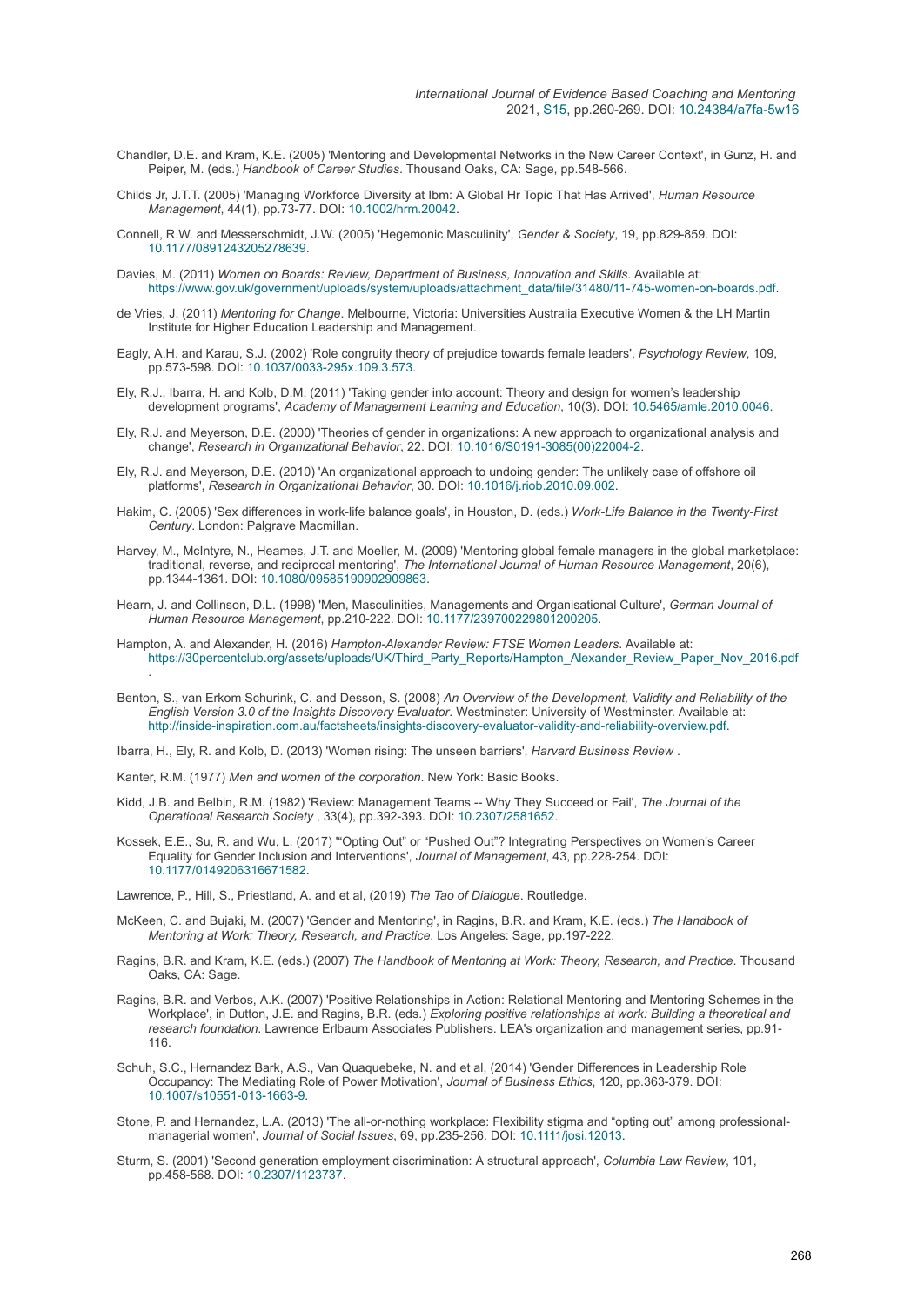- Chandler, D.E. and Kram, K.E. (2005) 'Mentoring and Developmental Networks in the New Career Context', in Gunz, H. and Peiper, M. (eds.) *Handbook of Career Studies*. Thousand Oaks, CA: Sage, pp.548-566.
- Childs Jr, J.T.T. (2005) 'Managing Workforce Diversity at Ibm: A Global Hr Topic That Has Arrived', *Human Resource Management*, 44(1), pp.73-77. DOI: [10.1002/hrm.20042.](https://doi.org/10.1002/hrm.20042)
- Connell, R.W. and Messerschmidt, J.W. (2005) 'Hegemonic Masculinity', *Gender & Society*, 19, pp.829-859. DOI: [10.1177/0891243205278639](https://doi.org/10.1177/0891243205278639).
- Davies, M. (2011) *Women on Boards: Review, Department of Business, Innovation and Skills*. Available at: [https://www.gov.uk/government/uploads/system/uploads/attachment\\_data/file/31480/11-745-women-on-boards.pdf.](https://www.gov.uk/government/uploads/system/uploads/attachment_data/file/31480/11-745-women-on-boards.pdf)
- de Vries, J. (2011) *Mentoring for Change*. Melbourne, Victoria: Universities Australia Executive Women & the LH Martin Institute for Higher Education Leadership and Management.
- Eagly, A.H. and Karau, S.J. (2002) 'Role congruity theory of prejudice towards female leaders', *Psychology Review*, 109, pp.573-598. DOI: [10.1037/0033-295x.109.3.573.](https://doi.org/10.1037/0033-295x.109.3.573)
- Ely, R.J., Ibarra, H. and Kolb, D.M. (2011) 'Taking gender into account: Theory and design for women's leadership development programs', *Academy of Management Learning and Education*, 10(3). DOI: [10.5465/amle.2010.0046.](https://doi.org/10.5465/amle.2010.0046)
- Ely, R.J. and Meyerson, D.E. (2000) 'Theories of gender in organizations: A new approach to organizational analysis and change', *Research in Organizational Behavior*, 22. DOI: [10.1016/S0191-3085\(00\)22004-2.](https://doi.org/10.1016/S0191-3085(00)22004-2)
- Ely, R.J. and Meyerson, D.E. (2010) 'An organizational approach to undoing gender: The unlikely case of offshore oil platforms', *Research in Organizational Behavior*, 30. DOI: [10.1016/j.riob.2010.09.002](https://doi.org/10.1016/j.riob.2010.09.002).
- Hakim, C. (2005) 'Sex differences in work-life balance goals', in Houston, D. (eds.) *Work-Life Balance in the Twenty-First Century*. London: Palgrave Macmillan.
- Harvey, M., McIntyre, N., Heames, J.T. and Moeller, M. (2009) 'Mentoring global female managers in the global marketplace: traditional, reverse, and reciprocal mentoring', *The International Journal of Human Resource Management*, 20(6), pp.1344-1361. DOI: [10.1080/09585190902909863.](https://doi.org/10.1080/09585190902909863)
- Hearn, J. and Collinson, D.L. (1998) 'Men, Masculinities, Managements and Organisational Culture', *German Journal of Human Resource Management*, pp.210-222. DOI: [10.1177/239700229801200205.](https://doi.org/10.1177/239700229801200205)
- Hampton, A. and Alexander, H. (2016) *Hampton-Alexander Review: FTSE Women Leaders*. Available at: [https://30percentclub.org/assets/uploads/UK/Third\\_Party\\_Reports/Hampton\\_Alexander\\_Review\\_Paper\\_Nov\\_2016.pdf](https://30percentclub.org/assets/uploads/UK/Third_Party_Reports/Hampton_Alexander_Review_Paper_Nov_2016.pdf) .
- Benton, S., van Erkom Schurink, C. and Desson, S. (2008) *An Overview of the Development, Validity and Reliability of the English Version 3.0 of the Insights Discovery Evaluator*. Westminster: University of Westminster. Available at: <http://inside-inspiration.com.au/factsheets/insights-discovery-evaluator-validity-and-reliability-overview.pdf>.

Ibarra, H., Ely, R. and Kolb, D. (2013) 'Women rising: The unseen barriers', *Harvard Business Review* .

- Kanter, R.M. (1977) *Men and women of the corporation*. New York: Basic Books.
- Kidd, J.B. and Belbin, R.M. (1982) 'Review: Management Teams -- Why They Succeed or Fail', *The Journal of the Operational Research Society* , 33(4), pp.392-393. DOI: [10.2307/2581652.](https://doi.org/10.2307/2581652)
- Kossek, E.E., Su, R. and Wu, L. (2017) '"Opting Out" or "Pushed Out"? Integrating Perspectives on Women's Career Equality for Gender Inclusion and Interventions', *Journal of Management*, 43, pp.228-254. DOI: [10.1177/0149206316671582](https://doi.org/10.1177/0149206316671582).

Lawrence, P., Hill, S., Priestland, A. and et al, (2019) *The Tao of Dialogue*. Routledge.

- McKeen, C. and Bujaki, M. (2007) 'Gender and Mentoring', in Ragins, B.R. and Kram, K.E. (eds.) *The Handbook of Mentoring at Work: Theory, Research, and Practice*. Los Angeles: Sage, pp.197-222.
- Ragins, B.R. and Kram, K.E. (eds.) (2007) *The Handbook of Mentoring at Work: Theory, Research, and Practice*. Thousand Oaks, CA: Sage.
- Ragins, B.R. and Verbos, A.K. (2007) 'Positive Relationships in Action: Relational Mentoring and Mentoring Schemes in the Workplace', in Dutton, J.E. and Ragins, B.R. (eds.) *Exploring positive relationships at work: Building a theoretical and research foundation*. Lawrence Erlbaum Associates Publishers. LEA's organization and management series, pp.91- 116.
- Schuh, S.C., Hernandez Bark, A.S., Van Quaquebeke, N. and et al, (2014) 'Gender Differences in Leadership Role Occupancy: The Mediating Role of Power Motivation', *Journal of Business Ethics*, 120, pp.363-379. DOI: [10.1007/s10551-013-1663-9](https://doi.org/10.1007/s10551-013-1663-9).
- Stone, P. and Hernandez, L.A. (2013) 'The all-or-nothing workplace: Flexibility stigma and "opting out" among professionalmanagerial women', *Journal of Social Issues*, 69, pp.235-256. DOI: [10.1111/josi.12013.](https://doi.org/10.1111/josi.12013)
- Sturm, S. (2001) 'Second generation employment discrimination: A structural approach', *Columbia Law Review*, 101, pp.458-568. DOI: [10.2307/1123737.](https://doi.org/10.2307/1123737)